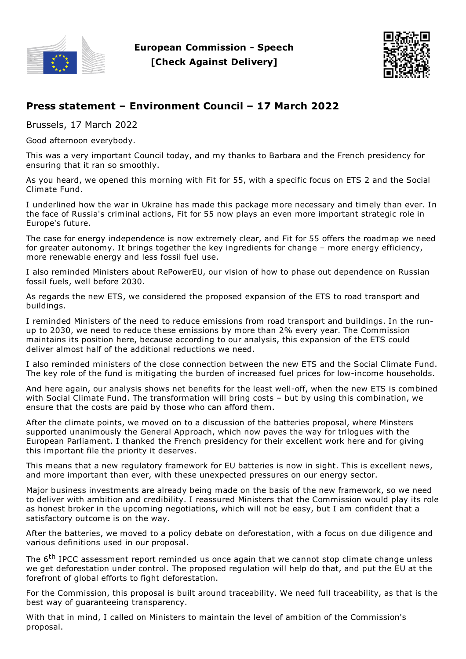

**European Commission - Speech [Check Against Delivery]**



## **Press statement – Environment Council – 17 March 2022**

Brussels, 17 March 2022

Good afternoon everybody.

This was a very important Council today, and my thanks to Barbara and the French presidency for ensuring that it ran so smoothly.

As you heard, we opened this morning with Fit for 55, with a specific focus on ETS 2 and the Social Climate Fund.

I underlined how the war in Ukraine has made this package more necessary and timely than ever. In the face of Russia's criminal actions, Fit for 55 now plays an even more important strategic role in Europe's future.

The case for energy independence is now extremely clear, and Fit for 55 offers the roadmap we need for greater autonomy. It brings together the key ingredients for change – more energy efficiency, more renewable energy and less fossil fuel use.

I also reminded Ministers about RePowerEU, our vision of how to phase out dependence on Russian fossil fuels, well before 2030.

As regards the new ETS, we considered the proposed expansion of the ETS to road transport and buildings.

I reminded Ministers of the need to reduce emissions from road transport and buildings. In the runup to 2030, we need to reduce these emissions by more than 2% every year. The Commission maintains its position here, because according to our analysis, this expansion of the ETS could deliver almost half of the additional reductions we need.

I also reminded ministers of the close connection between the new ETS and the Social Climate Fund. The key role of the fund is mitigating the burden of increased fuel prices for low-income households.

And here again, our analysis shows net benefits for the least well-off, when the new ETS is combined with Social Climate Fund. The transformation will bring costs – but by using this combination, we ensure that the costs are paid by those who can afford them.

After the climate points, we moved on to a discussion of the batteries proposal, where Minsters supported unanimously the General Approach, which now paves the way for trilogues with the European Parliament. I thanked the French presidency for their excellent work here and for giving this important file the priority it deserves.

This means that a new regulatory framework for EU batteries is now in sight. This is excellent news, and more important than ever, with these unexpected pressures on our energy sector.

Major business investments are already being made on the basis of the new framework, so we need to deliver with ambition and credibility. I reassured Ministers that the Commission would play its role as honest broker in the upcoming negotiations, which will not be easy, but I am confident that a satisfactory outcome is on the way.

After the batteries, we moved to a policy debate on deforestation, with a focus on due diligence and various definitions used in our proposal.

The 6<sup>th</sup> IPCC assessment report reminded us once again that we cannot stop climate change unless we get deforestation under control. The proposed regulation will help do that, and put the EU at the forefront of global efforts to fight deforestation.

For the Commission, this proposal is built around traceability. We need full traceability, as that is the best way of guaranteeing transparency.

With that in mind, I called on Ministers to maintain the level of ambition of the Commission's proposal.